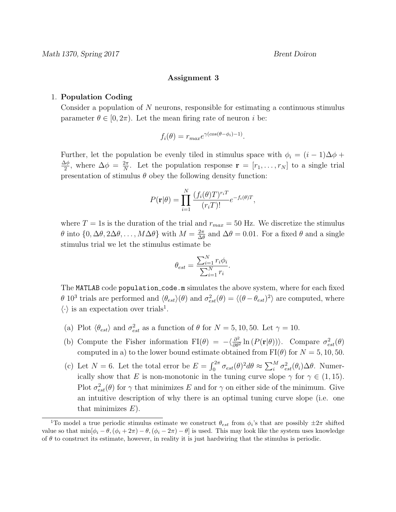## Assignment 3

## 1. Population Coding

Consider a population of N neurons, responsible for estimating a continuous stimulus parameter  $\theta \in [0, 2\pi)$ . Let the mean firing rate of neuron i be:

$$
f_i(\theta) = r_{max} e^{\gamma(cos(\theta - \phi_i) - 1)}.
$$

Further, let the population be evenly tiled in stimulus space with  $\phi_i = (i - 1)\Delta\phi +$  $\Delta \phi$  $\frac{\Delta \phi}{2}$ , where  $\Delta \phi = \frac{2\pi}{N}$  $\frac{2\pi}{N}$ . Let the population response  $\mathbf{r} = [r_1, \ldots, r_N]$  to a single trial presentation of stimulus  $\theta$  obey the following density function:

$$
P(\mathbf{r}|\theta) = \prod_{i=1}^{N} \frac{(f_i(\theta)T)^{r_i T}}{(r_i T)!} e^{-f_i(\theta)T},
$$

where  $T = 1$ s is the duration of the trial and  $r_{max} = 50$  Hz. We discretize the stimulus θ into  $\{0, \Delta\theta, 2\Delta\theta, \ldots, M\Delta\theta\}$  with  $M = \frac{2\pi}{\Delta\theta}$  $\frac{2\pi}{\Delta\theta}$  and  $\Delta\theta = 0.01$ . For a fixed  $\theta$  and a single stimulus trial we let the stimulus estimate be

$$
\theta_{est} = \frac{\sum_{i=1}^{N} r_i \phi_i}{\sum_{i=1}^{N} r_i}.
$$

The MATLAB code population code.m simulates the above system, where for each fixed  $\theta$  10<sup>3</sup> trials are performed and  $\langle \theta_{est} \rangle(\theta)$  and  $\sigma_{est}^2(\theta) = \langle (\theta - \theta_{est})^2 \rangle$  are computed, where  $\langle \cdot \rangle$  is an expectation over trials<sup>1</sup>.

- (a) Plot  $\langle \theta_{est} \rangle$  and  $\sigma_{est}^2$  as a function of  $\theta$  for  $N = 5, 10, 50$ . Let  $\gamma = 10$ .
- (b) Compute the Fisher information  $FI(\theta) = -\langle \frac{\partial^2}{\partial \theta^2} \rangle$  $\frac{\partial^2}{\partial \theta^2} \ln (P(\mathbf{r}|\theta))$ . Compare  $\sigma_{est}^2(\theta)$ computed in a) to the lower bound estimate obtained from  $FI(\theta)$  for  $N = 5, 10, 50$ .
- (c) Let  $N = 6$ . Let the total error be  $E = \int_0^{2\pi} \sigma_{est}(\theta)^2 d\theta \approx \sum_i^M \sigma_{est}^2(\theta_i) \Delta \theta$ . Numerically show that E is non-monotonic in the tuning curve slope  $\gamma$  for  $\gamma \in (1, 15)$ . Plot  $\sigma_{est}^2(\theta)$  for  $\gamma$  that minimizes E and for  $\gamma$  on either side of the minimum. Give an intuitive description of why there is an optimal tuning curve slope (i.e. one that minimizes  $E$ ).

<sup>&</sup>lt;sup>1</sup>To model a true periodic stimulus estimate we construct  $\theta_{est}$  from  $\phi_i$ 's that are possibly  $\pm 2\pi$  shifted value so that  $\min[\phi_i - \theta, (\phi_i + 2\pi) - \theta, (\phi_i - 2\pi) - \theta]$  is used. This may look like the system uses knowledge of  $\theta$  to construct its estimate, however, in reality it is just hardwiring that the stimulus is periodic.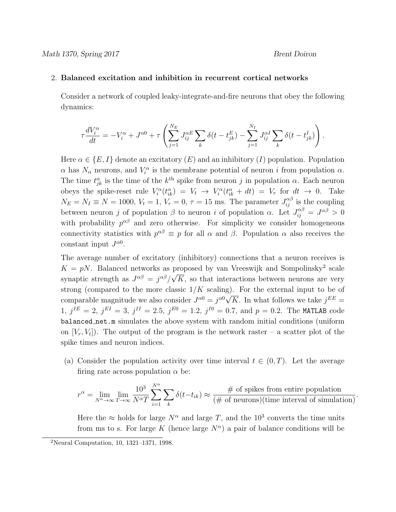## 2. Balanced excitation and inhibition in recurrent cortical networks

Consider a network of coupled leaky-integrate-and-fire neurons that obey the following dynamics:

$$
\tau \frac{dV_i^{\alpha}}{dt} = -V_i^{\alpha} + J^{\alpha 0} + \tau \left( \sum_{j=1}^{N_E} J_{ij}^{\alpha E} \sum_k \delta(t - t_{jk}^E) - \sum_{j=1}^{N_I} J_{ij}^{\alpha I} \sum_k \delta(t - t_{jk}^I) \right).
$$

Here  $\alpha \in \{E, I\}$  denote an excitatory  $(E)$  and an inhibitory  $(I)$  population. Population  $\alpha$  has  $N_{\alpha}$  neurons, and  $V_i^{\alpha}$  is the membrane potential of neuron i from population  $\alpha$ . The time  $t_{jk}^{\alpha}$  is the time of the  $k^{\text{th}}$  spike from neuron j in population  $\alpha$ . Each neuron obeys the spike-reset rule  $V_i^{\alpha}(t_{ik}^{\alpha}) = V_t \rightarrow V_i^{\alpha}(t_{ik}^{\alpha} + dt) = V_r$  for  $dt \rightarrow 0$ . Take  $N_E = N_I \equiv N = 1000, V_t = 1, V_r = 0, \tau = 15$  ms. The parameter  $J_{ij}^{\alpha\beta}$  is the coupling between neuron j of population  $\beta$  to neuron i of population  $\alpha$ . Let  $J_{ij}^{\alpha\beta} = J^{\alpha\beta} > 0$ with probability  $p^{\alpha\beta}$  and zero otherwise. For simplicity we consider homogeneous connectivity statistics with  $p^{\alpha\beta} \equiv p$  for all  $\alpha$  and  $\beta$ . Population  $\alpha$  also receives the constant input  $J^{\alpha 0}$ .

The average number of excitatory (inhibitory) connections that a neuron receives is  $K = pN$ . Balanced networks as proposed by van Vreeswijk and Sompolinsky<sup>2</sup> scale synaptic strength as  $J^{\alpha\beta} = j^{\alpha\beta}/j^{\alpha\beta}$  $\mathbf{P}_{i}^{(n)}$  $K$ , so that interactions between neurons are very strong (compared to the more classic  $1/K$  scaling). For the external input to be of comparable magnitude we also consider  $J^{\alpha 0} = j^{\alpha 0} \sqrt{K}$ . In what follows we take  $j^{EE} =$  $1, j^{IE} = 2, j^{EI} = 3, j^{II} = 2.5, j^{E0} = 1.2, j^{I0} = 0.7, \text{ and } p = 0.2.$  The MATLAB code balanced net.m simulates the above system with random initial conditions (uniform on  $[V_r, V_t]$ ). The output of the program is the network raster – a scatter plot of the spike times and neuron indices.

(a) Consider the population activity over time interval  $t \in (0, T)$ . Let the average firing rate across population  $\alpha$  be:

$$
r^{\alpha} = \lim_{N^{\alpha} \to \infty} \lim_{T \to \infty} \frac{10^3}{N^{\alpha}T} \sum_{i=1}^{N^{\alpha}} \sum_{k} \delta(t - t_{ik}) \approx \frac{\text{\# of spikes from entire population}}{(\text{\# of neurons})(\text{time interval of simulation})}.
$$

Here the  $\approx$  holds for large  $N^{\alpha}$  and large T, and the 10<sup>3</sup> converts the time units from ms to s. For large K (hence large  $N^{\alpha}$ ) a pair of balance conditions will be

<sup>2</sup>Neural Computation, 10, 1321–1371, 1998.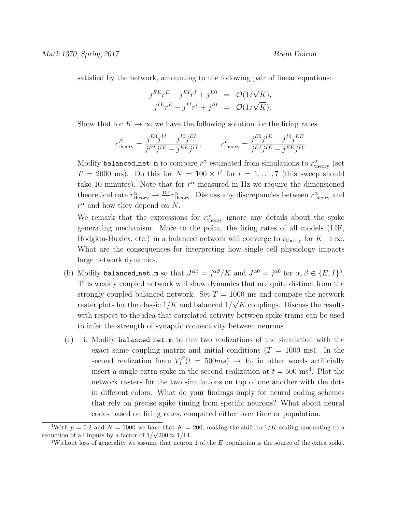satisfied by the network, amounting to the following pair of linear equations:

$$
j^{EE}r^{E} - j^{EI}r^{I} + j^{E0} = \mathcal{O}(1/\sqrt{K}),
$$
  

$$
j^{IE}r^{E} - j^{II}r^{I} + j^{I0} = \mathcal{O}(1/\sqrt{K}).
$$

Show that for  $K \to \infty$  we have the following solution for the firing rates.

$$
r_{\rm theory}^E = \frac{j^{E0}j^{II} - j^{I0}j^{EI}}{j^{EI}j^{IE} - j^{EE}j^{II}}, \qquad r_{\rm theory}^I = \frac{j^{E0}j^{IE} - j^{I0}j^{EE}}{j^{EI}j^{IE} - j^{EE}j^{II}}.
$$

Modify balanced net m to compare  $r^{\alpha}$  estimated from simulations to  $r^{\alpha}_{\text{theory}}$  (set  $T = 2000$  ms). Do this for  $N = 100 \times l^2$  for  $l = 1, ..., 7$  (this sweep should take 10 minutes). Note that for  $r^{\alpha}$  measured in Hz we require the dimensioned theoretical rate  $r_{\text{theory}}^{\alpha} \to \frac{10^3}{\tau} r_{\text{theory}}^{\alpha}$ . Discuss any discrepancies between  $r_{\text{theory}}^{\alpha}$  and  $r^{\alpha}$  and how they depend on N.

We remark that the expressions for  $r_{\text{theory}}^{\alpha}$  ignore any details about the spike generating mechanism. More to the point, the firing rates of all models (LIF, Hodgkin-Huxley, etc.) in a balanced network will converge to  $r_{\text{theory}}$  for  $K \to \infty$ . What are the consequences for interpreting how single cell physiology impacts large network dynamics.

- (b) Modify balanced net m so that  $J^{\alpha\beta} = j^{\alpha\beta}/K$  and  $J^{\alpha 0} = j^{\alpha 0}$  for  $\alpha, \beta \in \{E, I\}^3$ . This weakly coupled network will show dynamics that are quite distinct from the strongly coupled balanced network. Set  $T = 1000$  ms and compare the network raster plots for the classic  $1/K$  and balanced  $1/K$ √ K couplings. Discuss the results with respect to the idea that correlated activity between spike trains can be used to infer the strength of synaptic connectivity between neurons.
- (c) i. Modify balanced net.m to run two realizations of the simulation with the exact same coupling matrix and initial conditions  $(T = 1000 \text{ ms})$ . In the second realization force  $V_1^E(t = 500ms) \rightarrow V_t$ , in other words artificially insert a single extra spike in the second realization at  $t = 500 \text{ ms}^4$ . Plot the network rasters for the two simulations on top of one another with the dots in different colors. What do your findings imply for neural coding schemes that rely on precise spike timing from specific neurons? What about neural codes based on firing rates, computed either over time or population.

<sup>&</sup>lt;sup>3</sup>With  $p = 0.2$  and  $N = 1000$  we have that  $K = 200$ , making the shift to  $1/K$  scaling amounting to a reduction of all inputs by a factor of  $1/\sqrt{200} \approx 1/14$ .

<sup>&</sup>lt;sup>4</sup>Without loss of generality we assume that neuron 1 of the  $E$  population is the source of the extra spike.